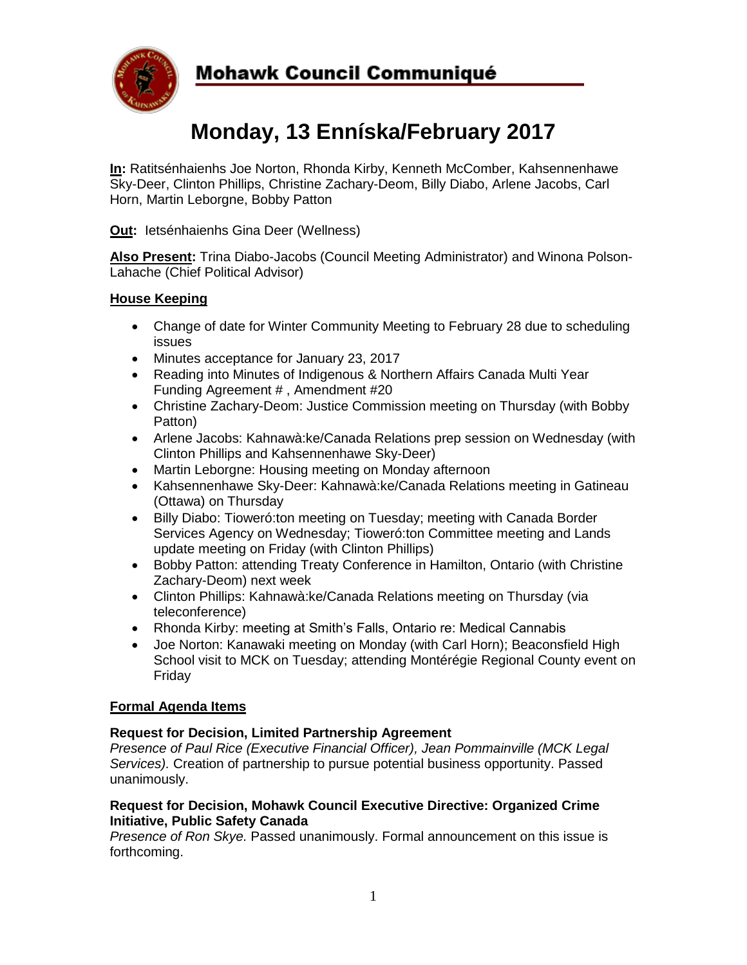

## **Mohawk Council Communiqué**

# **Monday, 13 Enníska/February 2017**

**In:** Ratitsénhaienhs Joe Norton, Rhonda Kirby, Kenneth McComber, Kahsennenhawe Sky-Deer, Clinton Phillips, Christine Zachary-Deom, Billy Diabo, Arlene Jacobs, Carl Horn, Martin Leborgne, Bobby Patton

**Out:** Ietsénhaienhs Gina Deer (Wellness)

**Also Present:** Trina Diabo-Jacobs (Council Meeting Administrator) and Winona Polson-Lahache (Chief Political Advisor)

### **House Keeping**

- Change of date for Winter Community Meeting to February 28 due to scheduling issues
- Minutes acceptance for January 23, 2017
- Reading into Minutes of Indigenous & Northern Affairs Canada Multi Year Funding Agreement # , Amendment #20
- Christine Zachary-Deom: Justice Commission meeting on Thursday (with Bobby Patton)
- Arlene Jacobs: Kahnawà:ke/Canada Relations prep session on Wednesday (with Clinton Phillips and Kahsennenhawe Sky-Deer)
- Martin Leborgne: Housing meeting on Monday afternoon
- Kahsennenhawe Sky-Deer: Kahnawà:ke/Canada Relations meeting in Gatineau (Ottawa) on Thursday
- Billy Diabo: Tioweró: ton meeting on Tuesday; meeting with Canada Border Services Agency on Wednesday; Tioweró:ton Committee meeting and Lands update meeting on Friday (with Clinton Phillips)
- Bobby Patton: attending Treaty Conference in Hamilton, Ontario (with Christine Zachary-Deom) next week
- Clinton Phillips: Kahnawà:ke/Canada Relations meeting on Thursday (via teleconference)
- Rhonda Kirby: meeting at Smith's Falls, Ontario re: Medical Cannabis
- Joe Norton: Kanawaki meeting on Monday (with Carl Horn); Beaconsfield High School visit to MCK on Tuesday; attending Montérégie Regional County event on Friday

#### **Formal Agenda Items**

#### **Request for Decision, Limited Partnership Agreement**

*Presence of Paul Rice (Executive Financial Officer), Jean Pommainville (MCK Legal Services).* Creation of partnership to pursue potential business opportunity. Passed unanimously.

#### **Request for Decision, Mohawk Council Executive Directive: Organized Crime Initiative, Public Safety Canada**

*Presence of Ron Skye.* Passed unanimously. Formal announcement on this issue is forthcoming.